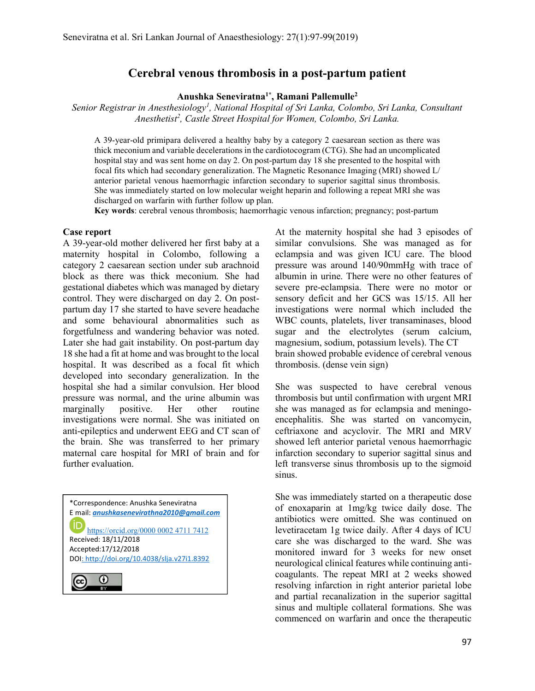# Cerebral venous thrombosis in a post-partum patient

Anushka Seneviratna1\*, Ramani Pallemulle<sup>2</sup>

Senior Registrar in Anesthesiology<sup>1</sup>, National Hospital of Sri Lanka, Colombo, Sri Lanka, Consultant Anesthetist<sup>2</sup>, Castle Street Hospital for Women, Colombo, Sri Lanka.

A 39-year-old primipara delivered a healthy baby by a category 2 caesarean section as there was thick meconium and variable decelerations in the cardiotocogram (CTG). She had an uncomplicated hospital stay and was sent home on day 2. On post-partum day 18 she presented to the hospital with focal fits which had secondary generalization. The Magnetic Resonance Imaging (MRI) showed L/ anterior parietal venous haemorrhagic infarction secondary to superior sagittal sinus thrombosis. She was immediately started on low molecular weight heparin and following a repeat MRI she was discharged on warfarin with further follow up plan.

Key words: cerebral venous thrombosis; haemorrhagic venous infarction; pregnancy; post-partum

#### Case report

A 39-year-old mother delivered her first baby at a maternity hospital in Colombo, following a category 2 caesarean section under sub arachnoid block as there was thick meconium. She had gestational diabetes which was managed by dietary control. They were discharged on day 2. On postpartum day 17 she started to have severe headache and some behavioural abnormalities such as forgetfulness and wandering behavior was noted. Later she had gait instability. On post-partum day 18 she had a fit at home and was brought to the local hospital. It was described as a focal fit which developed into secondary generalization. In the hospital she had a similar convulsion. Her blood pressure was normal, and the urine albumin was marginally positive. Her other routine investigations were normal. She was initiated on anti-epileptics and underwent EEG and CT scan of the brain. She was transferred to her primary maternal care hospital for MRI of brain and for further evaluation.

\*Correspondence: Anushka Seneviratna E mail: anushkasenevirathna2010@gmail.com ID https://orcid.org/0000 0002 4711 7412 Received: 18/11/2018 Accepted:17/12/2018 DOI: http://doi.org/10.4038/slja.v27i1.8392 ⊙ (cc)

 $\overline{\phantom{a}}$ 

At the maternity hospital she had 3 episodes of similar convulsions. She was managed as for eclampsia and was given ICU care. The blood pressure was around 140/90mmHg with trace of albumin in urine. There were no other features of severe pre-eclampsia. There were no motor or sensory deficit and her GCS was 15/15. All her investigations were normal which included the WBC counts, platelets, liver transaminases, blood sugar and the electrolytes (serum calcium, magnesium, sodium, potassium levels). The CT brain showed probable evidence of cerebral venous thrombosis. (dense vein sign)

She was suspected to have cerebral venous thrombosis but until confirmation with urgent MRI she was managed as for eclampsia and meningoencephalitis. She was started on vancomycin, ceftriaxone and acyclovir. The MRI and MRV showed left anterior parietal venous haemorrhagic infarction secondary to superior sagittal sinus and left transverse sinus thrombosis up to the sigmoid sinus.

She was immediately started on a therapeutic dose of enoxaparin at 1mg/kg twice daily dose. The antibiotics were omitted. She was continued on levetiracetam 1g twice daily. After 4 days of ICU care she was discharged to the ward. She was monitored inward for 3 weeks for new onset neurological clinical features while continuing anticoagulants. The repeat MRI at 2 weeks showed resolving infarction in right anterior parietal lobe and partial recanalization in the superior sagittal sinus and multiple collateral formations. She was commenced on warfarin and once the therapeutic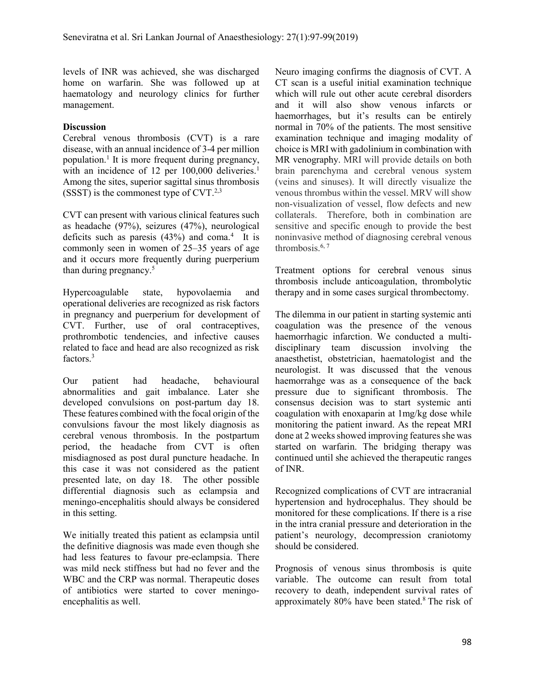levels of INR was achieved, she was discharged home on warfarin. She was followed up at haematology and neurology clinics for further management.

### **Discussion**

Cerebral venous thrombosis (CVT) is a rare disease, with an annual incidence of 3-4 per million population.<sup>1</sup> It is more frequent during pregnancy, with an incidence of 12 per 100,000 deliveries.<sup>1</sup> Among the sites, superior sagittal sinus thrombosis  $(SSST)$  is the commonest type of CVT.<sup>2,3</sup>

CVT can present with various clinical features such as headache (97%), seizures (47%), neurological deficits such as paresis  $(43%)$  and coma.<sup>4</sup> It is commonly seen in women of 25–35 years of age and it occurs more frequently during puerperium than during pregnancy.<sup>5</sup>

Hypercoagulable state, hypovolaemia and operational deliveries are recognized as risk factors in pregnancy and puerperium for development of CVT. Further, use of oral contraceptives, prothrombotic tendencies, and infective causes related to face and head are also recognized as risk factors.<sup>3</sup>

Our patient had headache, behavioural abnormalities and gait imbalance. Later she developed convulsions on post-partum day 18. These features combined with the focal origin of the convulsions favour the most likely diagnosis as cerebral venous thrombosis. In the postpartum period, the headache from CVT is often misdiagnosed as post dural puncture headache. In this case it was not considered as the patient presented late, on day 18. The other possible differential diagnosis such as eclampsia and meningo-encephalitis should always be considered in this setting.

We initially treated this patient as eclampsia until the definitive diagnosis was made even though she had less features to favour pre-eclampsia. There was mild neck stiffness but had no fever and the WBC and the CRP was normal. Therapeutic doses of antibiotics were started to cover meningoencephalitis as well.

Neuro imaging confirms the diagnosis of CVT. A CT scan is a useful initial examination technique which will rule out other acute cerebral disorders and it will also show venous infarcts or haemorrhages, but it's results can be entirely normal in 70% of the patients. The most sensitive examination technique and imaging modality of choice is MRI with gadolinium in combination with MR venography. MRI will provide details on both brain parenchyma and cerebral venous system (veins and sinuses). It will directly visualize the venous thrombus within the vessel. MRV will show non-visualization of vessel, flow defects and new collaterals. Therefore, both in combination are sensitive and specific enough to provide the best noninvasive method of diagnosing cerebral venous thrombosis. $6, 7$ 

Treatment options for cerebral venous sinus thrombosis include anticoagulation, thrombolytic therapy and in some cases surgical thrombectomy.

The dilemma in our patient in starting systemic anti coagulation was the presence of the venous haemorrhagic infarction. We conducted a multidisciplinary team discussion involving the anaesthetist, obstetrician, haematologist and the neurologist. It was discussed that the venous haemorrahge was as a consequence of the back pressure due to significant thrombosis. The consensus decision was to start systemic anti coagulation with enoxaparin at 1mg/kg dose while monitoring the patient inward. As the repeat MRI done at 2 weeks showed improving features she was started on warfarin. The bridging therapy was continued until she achieved the therapeutic ranges of INR.

Recognized complications of CVT are intracranial hypertension and hydrocephalus. They should be monitored for these complications. If there is a rise in the intra cranial pressure and deterioration in the patient's neurology, decompression craniotomy should be considered.

Prognosis of venous sinus thrombosis is quite variable. The outcome can result from total recovery to death, independent survival rates of approximately 80% have been stated.8 The risk of